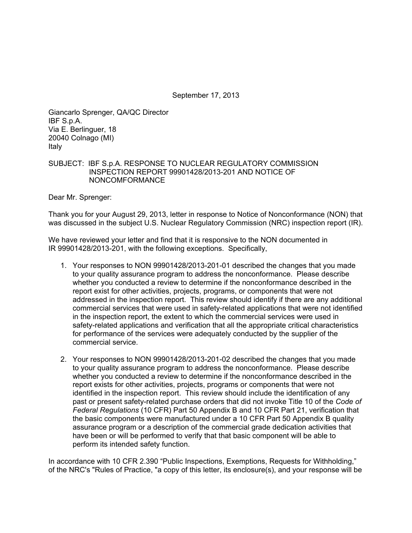September 17, 2013

Giancarlo Sprenger, QA/QC Director IBF S.p.A. Via E. Berlinguer, 18 20040 Colnago (MI) Italy

# SUBJECT: IBF S.p.A. RESPONSE TO NUCLEAR REGULATORY COMMISSION INSPECTION REPORT 99901428/2013-201 AND NOTICE OF NONCOMFORMANCE

Dear Mr. Sprenger:

Thank you for your August 29, 2013, letter in response to Notice of Nonconformance (NON) that was discussed in the subject U.S. Nuclear Regulatory Commission (NRC) inspection report (IR).

We have reviewed your letter and find that it is responsive to the NON documented in IR 99901428/2013-201, with the following exceptions. Specifically,

- 1. Your responses to NON 99901428/2013-201-01 described the changes that you made to your quality assurance program to address the nonconformance. Please describe whether you conducted a review to determine if the nonconformance described in the report exist for other activities, projects, programs, or components that were not addressed in the inspection report. This review should identify if there are any additional commercial services that were used in safety-related applications that were not identified in the inspection report, the extent to which the commercial services were used in safety-related applications and verification that all the appropriate critical characteristics for performance of the services were adequately conducted by the supplier of the commercial service.
- 2. Your responses to NON 99901428/2013-201-02 described the changes that you made to your quality assurance program to address the nonconformance. Please describe whether you conducted a review to determine if the nonconformance described in the report exists for other activities, projects, programs or components that were not identified in the inspection report. This review should include the identification of any past or present safety-related purchase orders that did not invoke Title 10 of the *Code of Federal Regulations* (10 CFR) Part 50 Appendix B and 10 CFR Part 21, verification that the basic components were manufactured under a 10 CFR Part 50 Appendix B quality assurance program or a description of the commercial grade dedication activities that have been or will be performed to verify that that basic component will be able to perform its intended safety function.

In accordance with 10 CFR 2.390 "Public Inspections, Exemptions, Requests for Withholding," of the NRC's "Rules of Practice, "a copy of this letter, its enclosure(s), and your response will be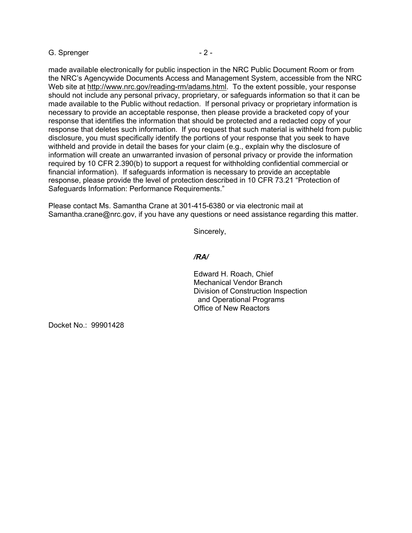## G. Sprenger - 2 -

made available electronically for public inspection in the NRC Public Document Room or from the NRC's Agencywide Documents Access and Management System, accessible from the NRC Web site at http://www.nrc.gov/reading-rm/adams.html. To the extent possible, your response should not include any personal privacy, proprietary, or safeguards information so that it can be made available to the Public without redaction. If personal privacy or proprietary information is necessary to provide an acceptable response, then please provide a bracketed copy of your response that identifies the information that should be protected and a redacted copy of your response that deletes such information. If you request that such material is withheld from public disclosure, you must specifically identify the portions of your response that you seek to have withheld and provide in detail the bases for your claim (e.g., explain why the disclosure of information will create an unwarranted invasion of personal privacy or provide the information required by 10 CFR 2.390(b) to support a request for withholding confidential commercial or financial information). If safeguards information is necessary to provide an acceptable response, please provide the level of protection described in 10 CFR 73.21 "Protection of Safeguards Information: Performance Requirements."

Please contact Ms. Samantha Crane at 301-415-6380 or via electronic mail at Samantha.crane@nrc.gov, if you have any questions or need assistance regarding this matter.

Sincerely,

## */RA/*

Edward H. Roach, Chief Mechanical Vendor Branch Division of Construction Inspection and Operational Programs Office of New Reactors

Docket No.: 99901428